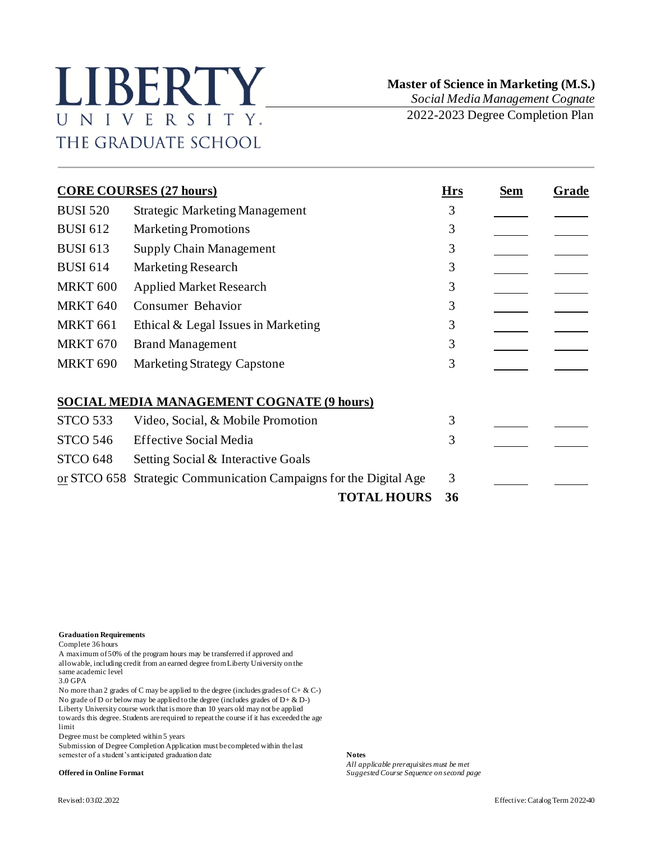## LIBERTY UNIVERSITY. THE GRADUATE SCHOOL

 **Master of Science in Marketing (M.S.)** *Social Media Management Cognate*

2022-2023 Degree Completion Plan

| <b>CORE COURSES (27 hours)</b> |                                                       | <b>Hrs</b> | Sem | Grade |
|--------------------------------|-------------------------------------------------------|------------|-----|-------|
| <b>BUSI 520</b>                | <b>Strategic Marketing Management</b>                 | 3          |     |       |
| <b>BUSI 612</b>                | <b>Marketing Promotions</b>                           | 3          |     |       |
| <b>BUSI 613</b>                | <b>Supply Chain Management</b>                        | 3          |     |       |
| <b>BUSI 614</b>                | Marketing Research                                    | 3          |     |       |
| <b>MRKT 600</b>                | <b>Applied Market Research</b>                        | 3          |     |       |
| <b>MRKT 640</b>                | Consumer Behavior                                     | 3          |     |       |
| <b>MRKT 661</b>                | Ethical & Legal Issues in Marketing                   | 3          |     |       |
| MRKT <sub>670</sub>            | <b>Brand Management</b>                               | 3          |     |       |
| <b>MRKT 690</b>                | <b>Marketing Strategy Capstone</b>                    | 3          |     |       |
|                                | SOCIAL MEDIA MANAGEMENT COGNATE (9 hours)             |            |     |       |
| <b>STCO 533</b>                | Video, Social, & Mobile Promotion                     | 3          |     |       |
| <b>STCO 546</b>                | <b>Effective Social Media</b>                         | 3          |     |       |
| <b>STCO 648</b>                | Setting Social & Interactive Goals                    |            |     |       |
| or STCO 658                    | Strategic Communication Campaigns for the Digital Age | 3          |     |       |
|                                | <b>TOTAL HOURS</b>                                    | 36         |     |       |

**Graduation Requirements**

Complete 36 hours

A maximum of 50% of the program hours may be transferred if approved and allowable, including credit from an earned degree from Liberty University on the same academic level 3.0 GPA

No more than 2 grades of C may be applied to the degree (includes grades of  $C + \& C$ -) No grade of D or below may be applied to the degree (includes grades of  $D + \& D$ -) Liberty University course work that is more than 10 years old may not be applied towards this degree. Students are required to repeat the course if it has exceeded the age limit

Degree must be completed within 5 years

Submission of Degree Completion Application must be completed within the last semester of a student's anticipated graduation date **Notes** 

*All applicable prerequisites must be met* **Offered in Online Format** *Suggested Course Sequence on second page*